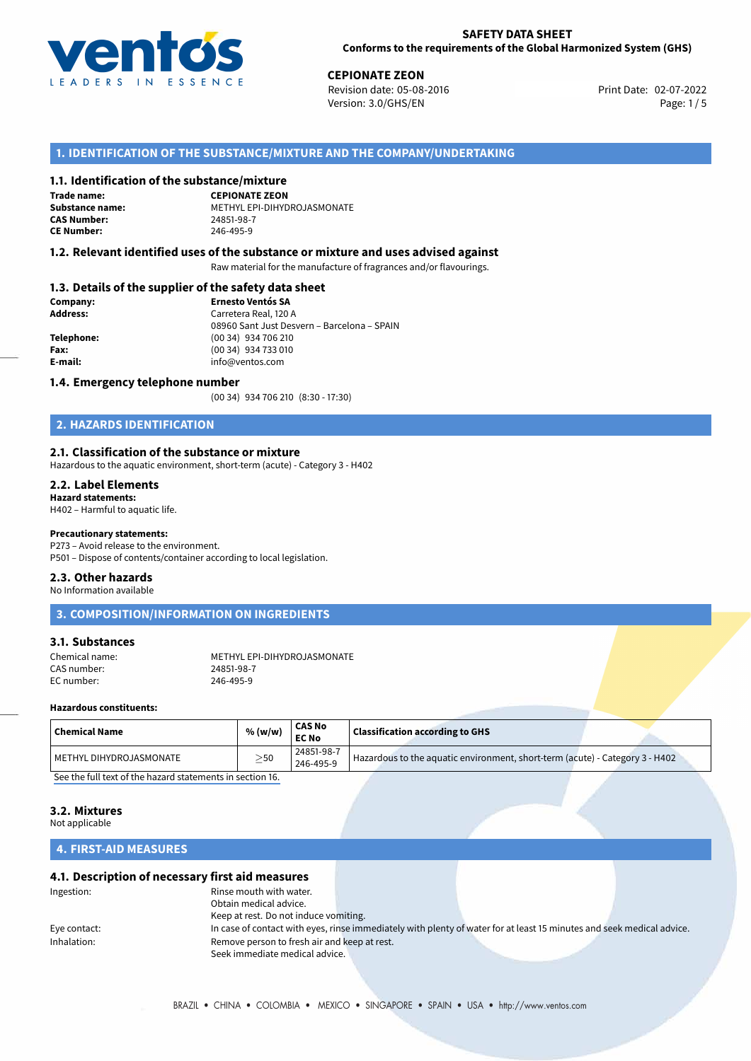

**CEPIONATE ZEON**<br>
Revision date: 05-08-2016 **Print Date: 02-07-2022** Version: 3.0/GHS/EN Page: 1/5

## **1. IDENTIFICATION OF THE SUBSTANCE/MIXTURE AND THE COMPANY/UNDERTAKING**

#### **1.1. Identification of the substance/mixture**

**Trade name: CAS Number: CE Number:** 246-495-9

**CEPIONATE ZEON Substance name:** METHYL EPI-DIHYDROJASMONATE

#### **1.2. Relevant identified uses of the substance or mixture and uses advised against**

Raw material for the manufacture of fragrances and/or flavourings.

#### **1.3. Details of the supplier of the safety data sheet**

| Company:   | <b>Ernesto Ventós SA</b>                    |  |
|------------|---------------------------------------------|--|
| Address:   | Carretera Real, 120 A                       |  |
|            | 08960 Sant Just Desvern - Barcelona - SPAIN |  |
| Telephone: | (00 34) 934 706 210                         |  |
| Fax:       | (00 34) 934 733 010                         |  |
| E-mail:    | info@ventos.com                             |  |
|            |                                             |  |

#### **1.4. Emergency telephone number**

(00 34) 934 706 210 (8:30 - 17:30)

## **2. HAZARDS IDENTIFICATION**

#### **2.1. Classification of the substance or mixture**

Hazardous to the aquatic environment, short-term (acute) - Category 3 - H402

### **2.2. Label Elements**

**Hazard statements:** H402 – Harmful to aquatic life.

## **Precautionary statements:**

P273 – Avoid release to the environment.

P501 – Dispose of contents/container according to local legislation.

#### **2.3. Other hazards**

No Information available

## **3. COMPOSITION/INFORMATION ON INGREDIENTS**

#### **3.1. Substances**

CAS number: 24851-98-7<br>
FC number: 246-495-9 EC number:

Chemical name: METHYL EPI-DIHYDROJASMONATE<br>CAS number: 24851-98-7

#### **Hazardous constituents:**

| $\mid$ Chemical Name    | % (w/w)   | <b>CAS No</b><br><b>EC No</b> | <b>Classification according to GHS</b>                                       |
|-------------------------|-----------|-------------------------------|------------------------------------------------------------------------------|
| METHYL DIHYDROJASMONATE | $\geq$ 50 | 24851-98-7<br>246-495-9       | Hazardous to the aquatic environment, short-term (acute) - Category 3 - H402 |
|                         |           |                               |                                                                              |

[See the full text of the hazard statements in section 16.](#page--1-0)

## **3.2. Mixtures**

Not applicable

## **4. FIRST-AID MEASURES**

#### **4.1. Description of necessary first aid measures**

| Ingestion:   | Rinse mouth with water.                      |                                                                                                                       |  |
|--------------|----------------------------------------------|-----------------------------------------------------------------------------------------------------------------------|--|
|              | Obtain medical advice.                       |                                                                                                                       |  |
|              | Keep at rest. Do not induce vomiting.        |                                                                                                                       |  |
| Eye contact: |                                              | In case of contact with eyes, rinse immediately with plenty of water for at least 15 minutes and seek medical advice. |  |
| Inhalation:  | Remove person to fresh air and keep at rest. |                                                                                                                       |  |
|              | Seek immediate medical advice.               |                                                                                                                       |  |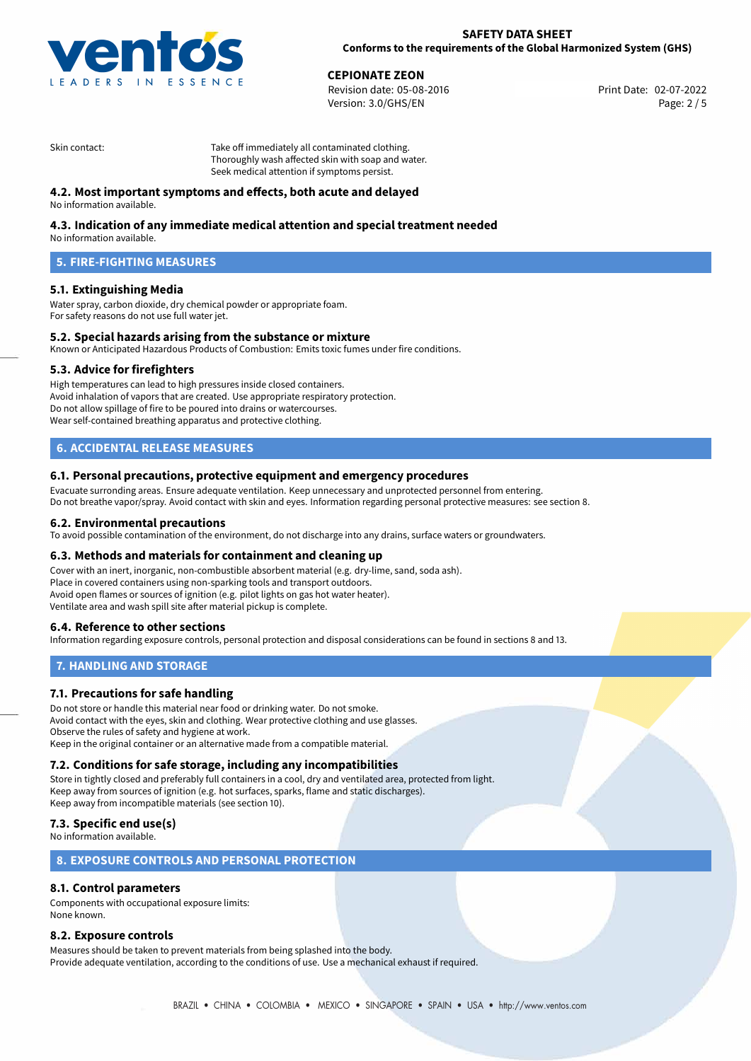

**CEPIONATE ZEON**<br>
Revision date: 05-08-2016 **Print Date: 02-07-2022** Version: 3.0/GHS/EN Page: 2 / 5

Skin contact: Take off immediately all contaminated clothing. Thoroughly wash affected skin with soap and water. Seek medical attention if symptoms persist.

## **4.2. Most important symptoms and effects, both acute and delayed**

No information available.

## **4.3. Indication of any immediate medical attention and special treatment needed**

No information available.

## **5. FIRE-FIGHTING MEASURES**

### **5.1. Extinguishing Media**

Water spray, carbon dioxide, dry chemical powder or appropriate foam. For safety reasons do not use full water jet.

#### **5.2. Special hazards arising from the substance or mixture**

Known or Anticipated Hazardous Products of Combustion: Emits toxic fumes under fire conditions.

#### **5.3. Advice for firefighters**

High temperatures can lead to high pressures inside closed containers. Avoid inhalation of vapors that are created. Use appropriate respiratory protection. Do not allow spillage of fire to be poured into drains or watercourses. Wear self-contained breathing apparatus and protective clothing.

## **6. ACCIDENTAL RELEASE MEASURES**

#### **6.1. Personal precautions, protective equipment and emergency procedures**

Evacuate surronding areas. Ensure adequate ventilation. Keep unnecessary and unprotected personnel from entering. Do not breathe vapor/spray. Avoid contact with skin and eyes. Information regarding personal protective measures: see section 8.

#### **6.2. Environmental precautions**

To avoid possible contamination of the environment, do not discharge into any drains, surface waters or groundwaters.

#### **6.3. Methods and materials for containment and cleaning up**

Cover with an inert, inorganic, non-combustible absorbent material (e.g. dry-lime, sand, soda ash). Place in covered containers using non-sparking tools and transport outdoors. Avoid open flames or sources of ignition (e.g. pilot lights on gas hot water heater). Ventilate area and wash spill site after material pickup is complete.

#### **6.4. Reference to other sections**

Information regarding exposure controls, personal protection and disposal considerations can be found in sections 8 and 13.

#### **7. HANDLING AND STORAGE**

#### **7.1. Precautions for safe handling**

Do not store or handle this material near food or drinking water. Do not smoke. Avoid contact with the eyes, skin and clothing. Wear protective clothing and use glasses. Observe the rules of safety and hygiene at work. Keep in the original container or an alternative made from a compatible material.

#### **7.2. Conditions for safe storage, including any incompatibilities**

Store in tightly closed and preferably full containers in a cool, dry and ventilated area, protected from light. Keep away from sources of ignition (e.g. hot surfaces, sparks, flame and static discharges). Keep away from incompatible materials (see section 10).

### **7.3. Specific end use(s)**

No information available.

#### **8. EXPOSURE CONTROLS AND PERSONAL PROTECTION**

### **8.1. Control parameters**

Components with occupational exposure limits: None known.

#### **8.2. Exposure controls**

Measures should be taken to prevent materials from being splashed into the body. Provide adequate ventilation, according to the conditions of use. Use a mechanical exhaust if required.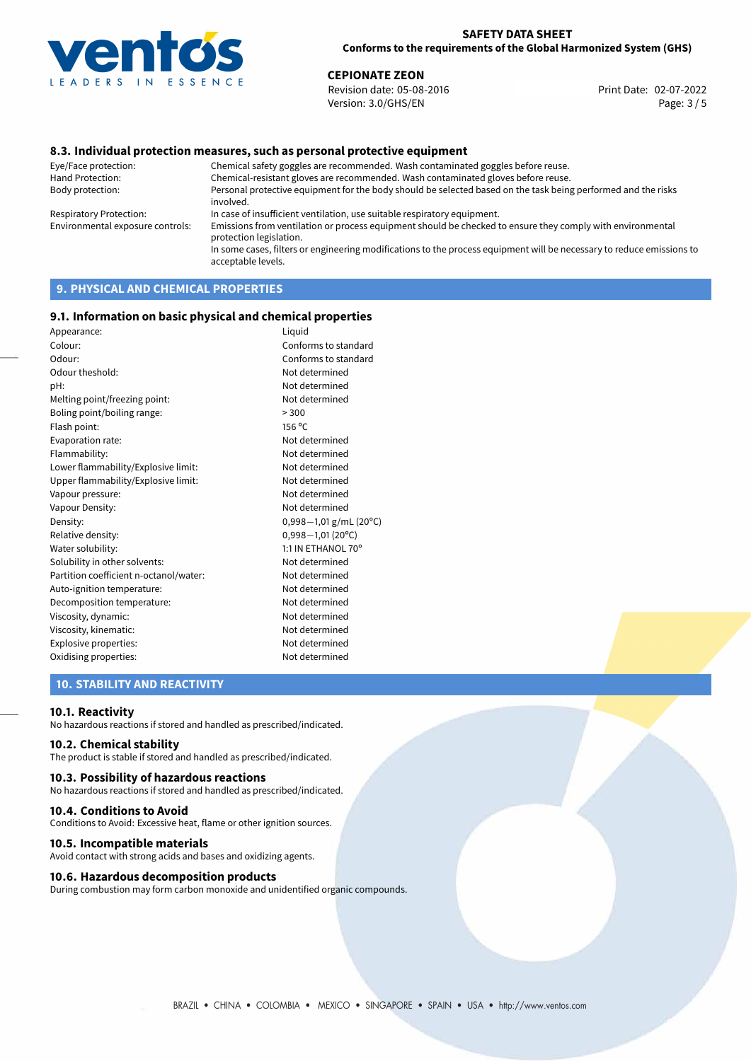

**CEPIONATE ZEON**<br>
Revision date: 05-08-2016 **Print Date: 02-07-2022** Version: 3.0/GHS/EN Page: 3 / 5

#### **8.3. Individual protection measures, such as personal protective equipment**

Eye/Face protection: Chemical safety goggles are recommended. Wash contaminated goggles before reuse. Chemical-resistant gloves are recommended. Wash contaminated gloves before reuse. Body protection: Personal protective equipment for the body should be selected based on the task being performed and the risks involved. Respiratory Protection: In case of insufficient ventilation, use suitable respiratory equipment. Environmental exposure controls: Emissions from ventilation or process equipment should be checked to ensure they comply with environmental protection legislation. In some cases, filters or engineering modifications to the process equipment will be necessary to reduce emissions to acceptable levels.

## **9. PHYSICAL AND CHEMICAL PROPERTIES**

#### **9.1. Information on basic physical and chemical properties**

| Appearance:                            | Liquid                 |
|----------------------------------------|------------------------|
| Colour:                                | Conforms to standard   |
| Odour:                                 | Conforms to standard   |
| Odour theshold:                        | Not determined         |
| pH:                                    | Not determined         |
| Melting point/freezing point:          | Not determined         |
| Boling point/boiling range:            | > 300                  |
| Flash point:                           | 156 °C                 |
| Evaporation rate:                      | Not determined         |
| Flammability:                          | Not determined         |
| Lower flammability/Explosive limit:    | Not determined         |
| Upper flammability/Explosive limit:    | Not determined         |
| Vapour pressure:                       | Not determined         |
| Vapour Density:                        | Not determined         |
| Density:                               | 0,998-1,01 g/mL (20°C) |
| Relative density:                      | $0,998 - 1,01$ (20°C)  |
| Water solubility:                      | 1:1 IN ETHANOL 70°     |
| Solubility in other solvents:          | Not determined         |
| Partition coefficient n-octanol/water: | Not determined         |
| Auto-ignition temperature:             | Not determined         |
| Decomposition temperature:             | Not determined         |
| Viscosity, dynamic:                    | Not determined         |
| Viscosity, kinematic:                  | Not determined         |
| Explosive properties:                  | Not determined         |
| Oxidising properties:                  | Not determined         |
|                                        |                        |

## **10. STABILITY AND REACTIVITY**

#### **10.1. Reactivity**

No hazardous reactions if stored and handled as prescribed/indicated.

### **10.2. Chemical stability**

The product is stable if stored and handled as prescribed/indicated.

#### **10.3. Possibility of hazardous reactions**

No hazardous reactions if stored and handled as prescribed/indicated.

#### **10.4. Conditions to Avoid**

Conditions to Avoid: Excessive heat, flame or other ignition sources.

#### **10.5. Incompatible materials**

Avoid contact with strong acids and bases and oxidizing agents.

#### **10.6. Hazardous decomposition products**

During combustion may form carbon monoxide and unidentified organic compounds.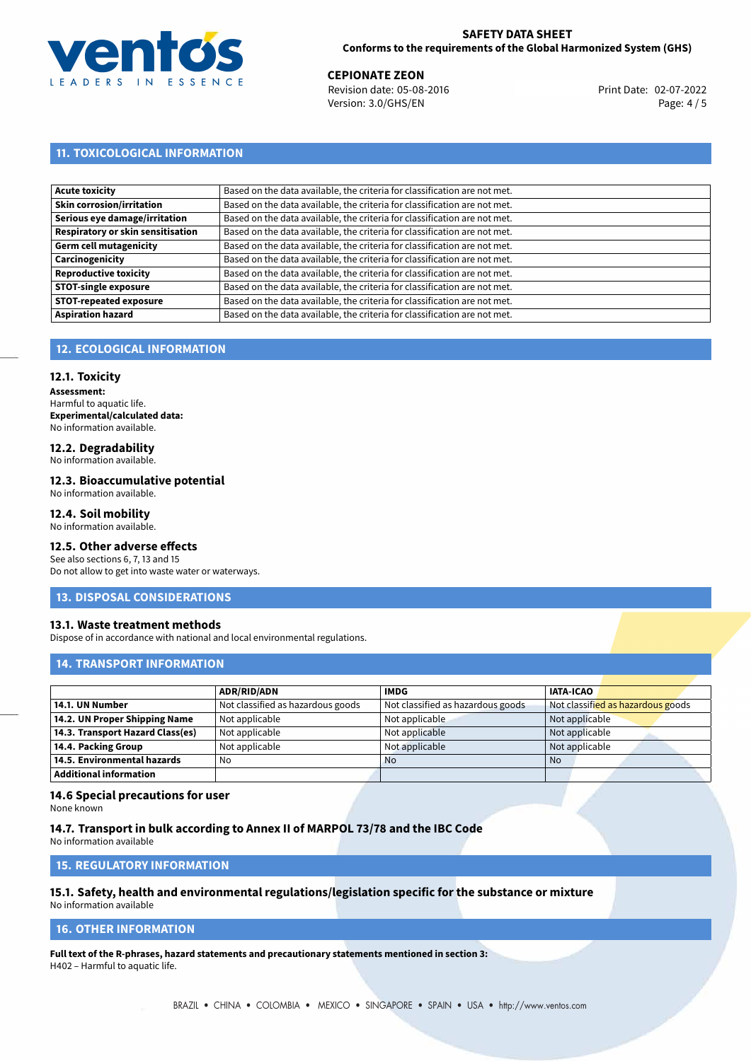

**CEPIONATE ZEON**<br>
Revision date: 05-08-2016 **Print Date: 02-07-2022** Version: 3.0/GHS/EN Page: 4 / 5

## **11. TOXICOLOGICAL INFORMATION**

| Acute toxicity                           | Based on the data available, the criteria for classification are not met. |
|------------------------------------------|---------------------------------------------------------------------------|
| Skin corrosion/irritation                | Based on the data available, the criteria for classification are not met. |
| Serious eye damage/irritation            | Based on the data available, the criteria for classification are not met. |
| <b>Respiratory or skin sensitisation</b> | Based on the data available, the criteria for classification are not met. |
| Germ cell mutagenicity                   | Based on the data available, the criteria for classification are not met. |
| Carcinogenicity                          | Based on the data available, the criteria for classification are not met. |
| <b>Reproductive toxicity</b>             | Based on the data available, the criteria for classification are not met. |
| <b>STOT-single exposure</b>              | Based on the data available, the criteria for classification are not met. |
| <b>STOT-repeated exposure</b>            | Based on the data available, the criteria for classification are not met. |
| <b>Aspiration hazard</b>                 | Based on the data available, the criteria for classification are not met. |

## **12. ECOLOGICAL INFORMATION**

#### **12.1. Toxicity**

**Assessment:** Harmful to aquatic life. **Experimental/calculated data:** No information available.

# **12.2. Degradability**

No information available.

### **12.3. Bioaccumulative potential**

No information available.

## **12.4. Soil mobility**

No information available.

## **12.5. Other adverse effects**

See also sections 6, 7, 13 and 15 Do not allow to get into waste water or waterways.

#### **13. DISPOSAL CONSIDERATIONS**

#### **13.1. Waste treatment methods**

Dispose of in accordance with national and local environmental regulations.

### **14. TRANSPORT INFORMATION**

|                                  | <b>ADR/RID/ADN</b>                | <b>IMDG</b>                       | <b>IATA-ICAO</b>                  |
|----------------------------------|-----------------------------------|-----------------------------------|-----------------------------------|
| 14.1. UN Number                  | Not classified as hazardous goods | Not classified as hazardous goods | Not classified as hazardous goods |
| 14.2. UN Proper Shipping Name    | Not applicable                    | Not applicable                    | Not applicable                    |
| 14.3. Transport Hazard Class(es) | Not applicable                    | Not applicable                    | Not applicable                    |
| 14.4. Packing Group              | Not applicable                    | Not applicable                    | Not applicable                    |
| 14.5. Environmental hazards      | No                                | <b>No</b>                         | No                                |
| <b>Additional information</b>    |                                   |                                   |                                   |

#### **14.6 Special precautions for user**

None known

#### **14.7. Transport in bulk according to Annex II of MARPOL 73/78 and the IBC Code**

No information available

## **15. REGULATORY INFORMATION**

# **15.1. Safety, health and environmental regulations/legislation specific for the substance or mixture**

No information available

## **16. OTHER INFORMATION**

**Full text of the R-phrases, hazard statements and precautionary statements mentioned in section 3:** H402 – Harmful to aquatic life.